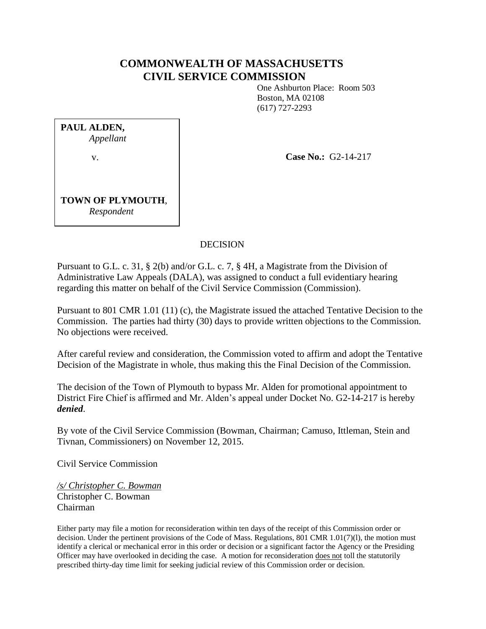# **COMMONWEALTH OF MASSACHUSETTS CIVIL SERVICE COMMISSION**

One Ashburton Place: Room 503 Boston, MA 02108 (617) 727-2293

**PAUL ALDEN,** *Appellant* v.

**Case No.:** G2-14-217

**TOWN OF PLYMOUTH**, *Respondent*

## DECISION

Pursuant to G.L. c. 31, § 2(b) and/or G.L. c. 7, § 4H, a Magistrate from the Division of Administrative Law Appeals (DALA), was assigned to conduct a full evidentiary hearing regarding this matter on behalf of the Civil Service Commission (Commission).

Pursuant to 801 CMR 1.01 (11) (c), the Magistrate issued the attached Tentative Decision to the Commission. The parties had thirty (30) days to provide written objections to the Commission. No objections were received.

After careful review and consideration, the Commission voted to affirm and adopt the Tentative Decision of the Magistrate in whole, thus making this the Final Decision of the Commission.

The decision of the Town of Plymouth to bypass Mr. Alden for promotional appointment to District Fire Chief is affirmed and Mr. Alden's appeal under Docket No. G2-14-217 is hereby *denied*.

By vote of the Civil Service Commission (Bowman, Chairman; Camuso, Ittleman, Stein and Tivnan, Commissioners) on November 12, 2015.

Civil Service Commission

*/s/ Christopher C. Bowman* Christopher C. Bowman Chairman

Either party may file a motion for reconsideration within ten days of the receipt of this Commission order or decision. Under the pertinent provisions of the Code of Mass. Regulations, 801 CMR 1.01(7)(l), the motion must identify a clerical or mechanical error in this order or decision or a significant factor the Agency or the Presiding Officer may have overlooked in deciding the case. A motion for reconsideration does not toll the statutorily prescribed thirty-day time limit for seeking judicial review of this Commission order or decision.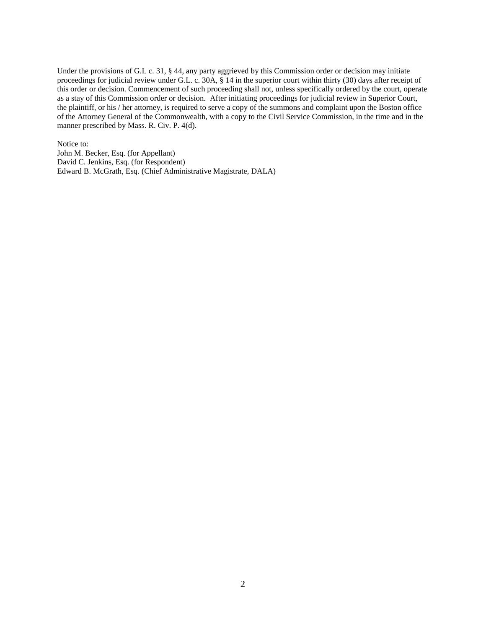Under the provisions of G.L c. 31, § 44, any party aggrieved by this Commission order or decision may initiate proceedings for judicial review under G.L. c. 30A, § 14 in the superior court within thirty (30) days after receipt of this order or decision. Commencement of such proceeding shall not, unless specifically ordered by the court, operate as a stay of this Commission order or decision. After initiating proceedings for judicial review in Superior Court, the plaintiff, or his / her attorney, is required to serve a copy of the summons and complaint upon the Boston office of the Attorney General of the Commonwealth, with a copy to the Civil Service Commission, in the time and in the manner prescribed by Mass. R. Civ. P. 4(d).

Notice to:

John M. Becker, Esq. (for Appellant) David C. Jenkins, Esq. (for Respondent) Edward B. McGrath, Esq. (Chief Administrative Magistrate, DALA)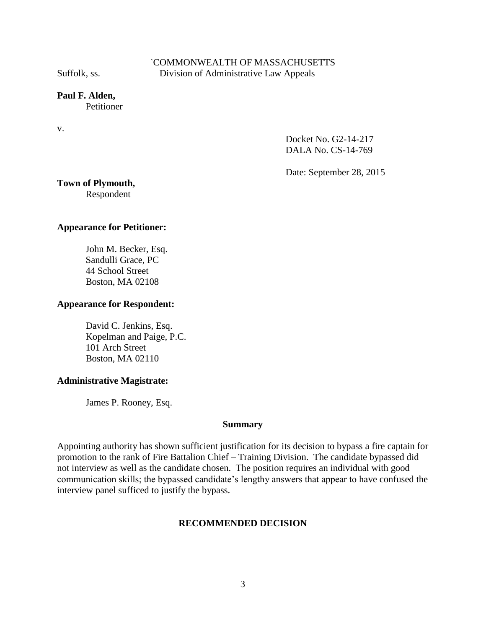## `COMMONWEALTH OF MASSACHUSETTS Suffolk, ss. Division of Administrative Law Appeals

# **Paul F. Alden,**

**Petitioner** 

v.

Docket No. G2-14-217 DALA No. CS-14-769

Date: September 28, 2015

# **Town of Plymouth,**

Respondent

## **Appearance for Petitioner:**

John M. Becker, Esq. Sandulli Grace, PC 44 School Street Boston, MA 02108

### **Appearance for Respondent:**

David C. Jenkins, Esq. Kopelman and Paige, P.C. 101 Arch Street Boston, MA 02110

### **Administrative Magistrate:**

James P. Rooney, Esq.

#### **Summary**

Appointing authority has shown sufficient justification for its decision to bypass a fire captain for promotion to the rank of Fire Battalion Chief – Training Division. The candidate bypassed did not interview as well as the candidate chosen. The position requires an individual with good communication skills; the bypassed candidate's lengthy answers that appear to have confused the interview panel sufficed to justify the bypass.

### **RECOMMENDED DECISION**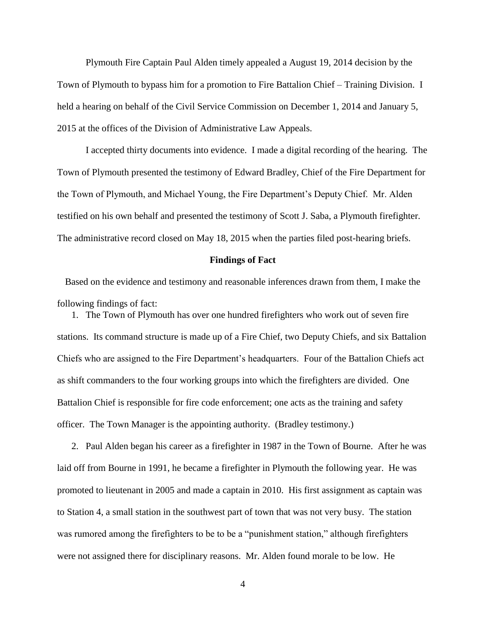Plymouth Fire Captain Paul Alden timely appealed a August 19, 2014 decision by the Town of Plymouth to bypass him for a promotion to Fire Battalion Chief – Training Division. I held a hearing on behalf of the Civil Service Commission on December 1, 2014 and January 5, 2015 at the offices of the Division of Administrative Law Appeals.

I accepted thirty documents into evidence. I made a digital recording of the hearing. The Town of Plymouth presented the testimony of Edward Bradley, Chief of the Fire Department for the Town of Plymouth, and Michael Young, the Fire Department's Deputy Chief. Mr. Alden testified on his own behalf and presented the testimony of Scott J. Saba, a Plymouth firefighter. The administrative record closed on May 18, 2015 when the parties filed post-hearing briefs.

#### **Findings of Fact**

Based on the evidence and testimony and reasonable inferences drawn from them, I make the following findings of fact:

1. The Town of Plymouth has over one hundred firefighters who work out of seven fire stations. Its command structure is made up of a Fire Chief, two Deputy Chiefs, and six Battalion Chiefs who are assigned to the Fire Department's headquarters. Four of the Battalion Chiefs act as shift commanders to the four working groups into which the firefighters are divided. One Battalion Chief is responsible for fire code enforcement; one acts as the training and safety officer. The Town Manager is the appointing authority. (Bradley testimony.)

2. Paul Alden began his career as a firefighter in 1987 in the Town of Bourne. After he was laid off from Bourne in 1991, he became a firefighter in Plymouth the following year. He was promoted to lieutenant in 2005 and made a captain in 2010. His first assignment as captain was to Station 4, a small station in the southwest part of town that was not very busy. The station was rumored among the firefighters to be to be a "punishment station," although firefighters were not assigned there for disciplinary reasons. Mr. Alden found morale to be low. He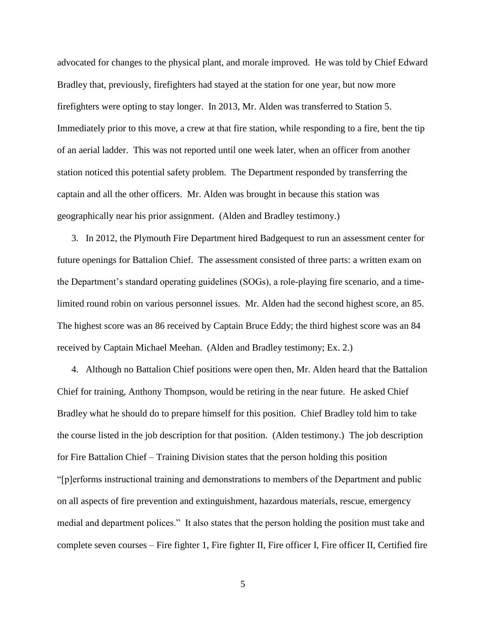advocated for changes to the physical plant, and morale improved. He was told by Chief Edward Bradley that, previously, firefighters had stayed at the station for one year, but now more firefighters were opting to stay longer. In 2013, Mr. Alden was transferred to Station 5. Immediately prior to this move, a crew at that fire station, while responding to a fire, bent the tip of an aerial ladder. This was not reported until one week later, when an officer from another station noticed this potential safety problem. The Department responded by transferring the captain and all the other officers. Mr. Alden was brought in because this station was geographically near his prior assignment. (Alden and Bradley testimony.)

3. In 2012, the Plymouth Fire Department hired Badgequest to run an assessment center for future openings for Battalion Chief. The assessment consisted of three parts: a written exam on the Department's standard operating guidelines (SOGs), a role-playing fire scenario, and a timelimited round robin on various personnel issues. Mr. Alden had the second highest score, an 85. The highest score was an 86 received by Captain Bruce Eddy; the third highest score was an 84 received by Captain Michael Meehan. (Alden and Bradley testimony; Ex. 2.)

4. Although no Battalion Chief positions were open then, Mr. Alden heard that the Battalion Chief for training, Anthony Thompson, would be retiring in the near future. He asked Chief Bradley what he should do to prepare himself for this position. Chief Bradley told him to take the course listed in the job description for that position. (Alden testimony.) The job description for Fire Battalion Chief – Training Division states that the person holding this position "[p]erforms instructional training and demonstrations to members of the Department and public on all aspects of fire prevention and extinguishment, hazardous materials, rescue, emergency medial and department polices." It also states that the person holding the position must take and complete seven courses – Fire fighter 1, Fire fighter II, Fire officer I, Fire officer II, Certified fire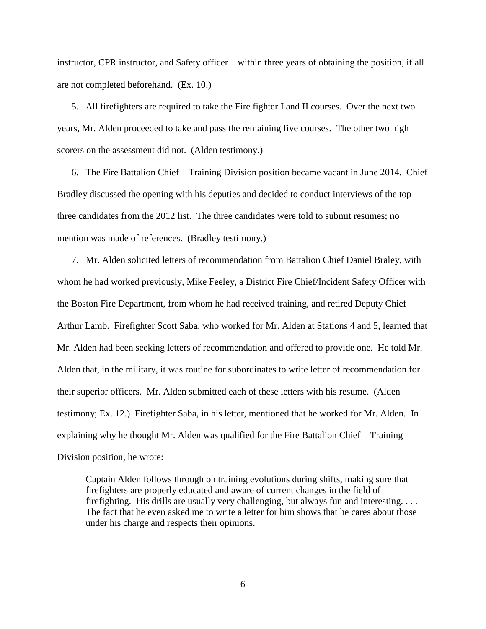instructor, CPR instructor, and Safety officer – within three years of obtaining the position, if all are not completed beforehand. (Ex. 10.)

5. All firefighters are required to take the Fire fighter I and II courses. Over the next two years, Mr. Alden proceeded to take and pass the remaining five courses. The other two high scorers on the assessment did not. (Alden testimony.)

6. The Fire Battalion Chief – Training Division position became vacant in June 2014. Chief Bradley discussed the opening with his deputies and decided to conduct interviews of the top three candidates from the 2012 list. The three candidates were told to submit resumes; no mention was made of references. (Bradley testimony.)

7. Mr. Alden solicited letters of recommendation from Battalion Chief Daniel Braley, with whom he had worked previously, Mike Feeley, a District Fire Chief/Incident Safety Officer with the Boston Fire Department, from whom he had received training, and retired Deputy Chief Arthur Lamb. Firefighter Scott Saba, who worked for Mr. Alden at Stations 4 and 5, learned that Mr. Alden had been seeking letters of recommendation and offered to provide one. He told Mr. Alden that, in the military, it was routine for subordinates to write letter of recommendation for their superior officers. Mr. Alden submitted each of these letters with his resume. (Alden testimony; Ex. 12.) Firefighter Saba, in his letter, mentioned that he worked for Mr. Alden. In explaining why he thought Mr. Alden was qualified for the Fire Battalion Chief – Training Division position, he wrote:

Captain Alden follows through on training evolutions during shifts, making sure that firefighters are properly educated and aware of current changes in the field of firefighting. His drills are usually very challenging, but always fun and interesting. . . . The fact that he even asked me to write a letter for him shows that he cares about those under his charge and respects their opinions.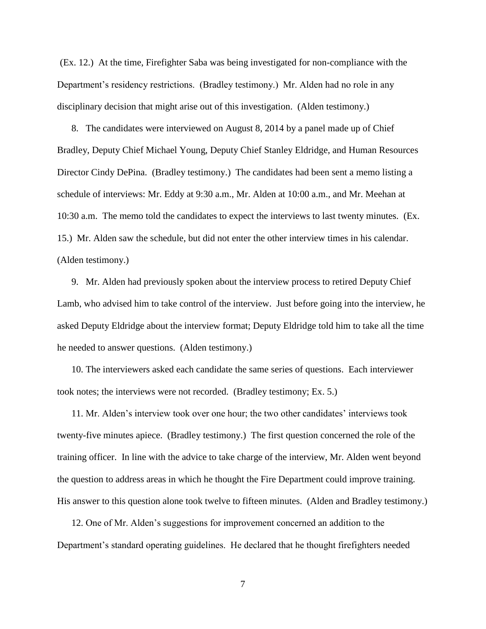(Ex. 12.) At the time, Firefighter Saba was being investigated for non-compliance with the Department's residency restrictions. (Bradley testimony.) Mr. Alden had no role in any disciplinary decision that might arise out of this investigation. (Alden testimony.)

8. The candidates were interviewed on August 8, 2014 by a panel made up of Chief Bradley, Deputy Chief Michael Young, Deputy Chief Stanley Eldridge, and Human Resources Director Cindy DePina. (Bradley testimony.) The candidates had been sent a memo listing a schedule of interviews: Mr. Eddy at 9:30 a.m., Mr. Alden at 10:00 a.m., and Mr. Meehan at 10:30 a.m. The memo told the candidates to expect the interviews to last twenty minutes. (Ex. 15.) Mr. Alden saw the schedule, but did not enter the other interview times in his calendar. (Alden testimony.)

9. Mr. Alden had previously spoken about the interview process to retired Deputy Chief Lamb, who advised him to take control of the interview. Just before going into the interview, he asked Deputy Eldridge about the interview format; Deputy Eldridge told him to take all the time he needed to answer questions. (Alden testimony.)

10. The interviewers asked each candidate the same series of questions. Each interviewer took notes; the interviews were not recorded. (Bradley testimony; Ex. 5.)

11. Mr. Alden's interview took over one hour; the two other candidates' interviews took twenty-five minutes apiece. (Bradley testimony.) The first question concerned the role of the training officer. In line with the advice to take charge of the interview, Mr. Alden went beyond the question to address areas in which he thought the Fire Department could improve training. His answer to this question alone took twelve to fifteen minutes. (Alden and Bradley testimony.)

12. One of Mr. Alden's suggestions for improvement concerned an addition to the Department's standard operating guidelines. He declared that he thought firefighters needed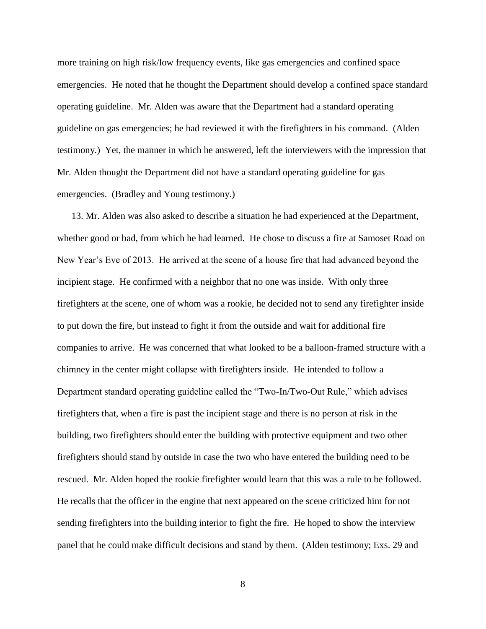more training on high risk/low frequency events, like gas emergencies and confined space emergencies. He noted that he thought the Department should develop a confined space standard operating guideline. Mr. Alden was aware that the Department had a standard operating guideline on gas emergencies; he had reviewed it with the firefighters in his command. (Alden testimony.) Yet, the manner in which he answered, left the interviewers with the impression that Mr. Alden thought the Department did not have a standard operating guideline for gas emergencies. (Bradley and Young testimony.)

13. Mr. Alden was also asked to describe a situation he had experienced at the Department, whether good or bad, from which he had learned. He chose to discuss a fire at Samoset Road on New Year's Eve of 2013. He arrived at the scene of a house fire that had advanced beyond the incipient stage. He confirmed with a neighbor that no one was inside. With only three firefighters at the scene, one of whom was a rookie, he decided not to send any firefighter inside to put down the fire, but instead to fight it from the outside and wait for additional fire companies to arrive. He was concerned that what looked to be a balloon-framed structure with a chimney in the center might collapse with firefighters inside. He intended to follow a Department standard operating guideline called the "Two-In/Two-Out Rule," which advises firefighters that, when a fire is past the incipient stage and there is no person at risk in the building, two firefighters should enter the building with protective equipment and two other firefighters should stand by outside in case the two who have entered the building need to be rescued. Mr. Alden hoped the rookie firefighter would learn that this was a rule to be followed. He recalls that the officer in the engine that next appeared on the scene criticized him for not sending firefighters into the building interior to fight the fire. He hoped to show the interview panel that he could make difficult decisions and stand by them. (Alden testimony; Exs. 29 and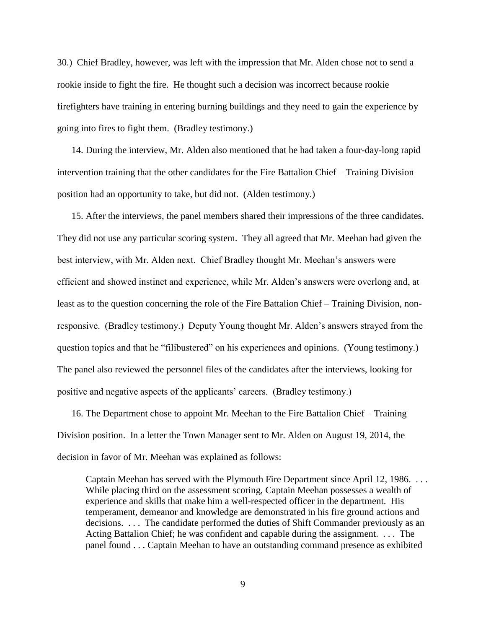30.) Chief Bradley, however, was left with the impression that Mr. Alden chose not to send a rookie inside to fight the fire. He thought such a decision was incorrect because rookie firefighters have training in entering burning buildings and they need to gain the experience by going into fires to fight them. (Bradley testimony.)

14. During the interview, Mr. Alden also mentioned that he had taken a four-day-long rapid intervention training that the other candidates for the Fire Battalion Chief – Training Division position had an opportunity to take, but did not. (Alden testimony.)

15. After the interviews, the panel members shared their impressions of the three candidates. They did not use any particular scoring system. They all agreed that Mr. Meehan had given the best interview, with Mr. Alden next. Chief Bradley thought Mr. Meehan's answers were efficient and showed instinct and experience, while Mr. Alden's answers were overlong and, at least as to the question concerning the role of the Fire Battalion Chief – Training Division, nonresponsive. (Bradley testimony.) Deputy Young thought Mr. Alden's answers strayed from the question topics and that he "filibustered" on his experiences and opinions. (Young testimony.) The panel also reviewed the personnel files of the candidates after the interviews, looking for positive and negative aspects of the applicants' careers. (Bradley testimony.)

16. The Department chose to appoint Mr. Meehan to the Fire Battalion Chief – Training Division position. In a letter the Town Manager sent to Mr. Alden on August 19, 2014, the decision in favor of Mr. Meehan was explained as follows:

Captain Meehan has served with the Plymouth Fire Department since April 12, 1986. . . . While placing third on the assessment scoring, Captain Meehan possesses a wealth of experience and skills that make him a well-respected officer in the department. His temperament, demeanor and knowledge are demonstrated in his fire ground actions and decisions. . . . The candidate performed the duties of Shift Commander previously as an Acting Battalion Chief; he was confident and capable during the assignment. . . . The panel found . . . Captain Meehan to have an outstanding command presence as exhibited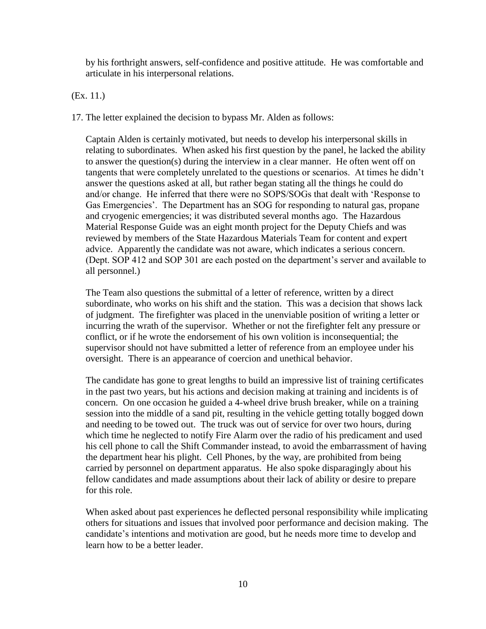by his forthright answers, self-confidence and positive attitude. He was comfortable and articulate in his interpersonal relations.

(Ex. 11.)

17. The letter explained the decision to bypass Mr. Alden as follows:

Captain Alden is certainly motivated, but needs to develop his interpersonal skills in relating to subordinates. When asked his first question by the panel, he lacked the ability to answer the question(s) during the interview in a clear manner. He often went off on tangents that were completely unrelated to the questions or scenarios. At times he didn't answer the questions asked at all, but rather began stating all the things he could do and/or change. He inferred that there were no SOPS/SOGs that dealt with 'Response to Gas Emergencies'. The Department has an SOG for responding to natural gas, propane and cryogenic emergencies; it was distributed several months ago. The Hazardous Material Response Guide was an eight month project for the Deputy Chiefs and was reviewed by members of the State Hazardous Materials Team for content and expert advice. Apparently the candidate was not aware, which indicates a serious concern. (Dept. SOP 412 and SOP 301 are each posted on the department's server and available to all personnel.)

The Team also questions the submittal of a letter of reference, written by a direct subordinate, who works on his shift and the station. This was a decision that shows lack of judgment. The firefighter was placed in the unenviable position of writing a letter or incurring the wrath of the supervisor. Whether or not the firefighter felt any pressure or conflict, or if he wrote the endorsement of his own volition is inconsequential; the supervisor should not have submitted a letter of reference from an employee under his oversight. There is an appearance of coercion and unethical behavior.

The candidate has gone to great lengths to build an impressive list of training certificates in the past two years, but his actions and decision making at training and incidents is of concern. On one occasion he guided a 4-wheel drive brush breaker, while on a training session into the middle of a sand pit, resulting in the vehicle getting totally bogged down and needing to be towed out. The truck was out of service for over two hours, during which time he neglected to notify Fire Alarm over the radio of his predicament and used his cell phone to call the Shift Commander instead, to avoid the embarrassment of having the department hear his plight. Cell Phones, by the way, are prohibited from being carried by personnel on department apparatus. He also spoke disparagingly about his fellow candidates and made assumptions about their lack of ability or desire to prepare for this role.

When asked about past experiences he deflected personal responsibility while implicating others for situations and issues that involved poor performance and decision making. The candidate's intentions and motivation are good, but he needs more time to develop and learn how to be a better leader.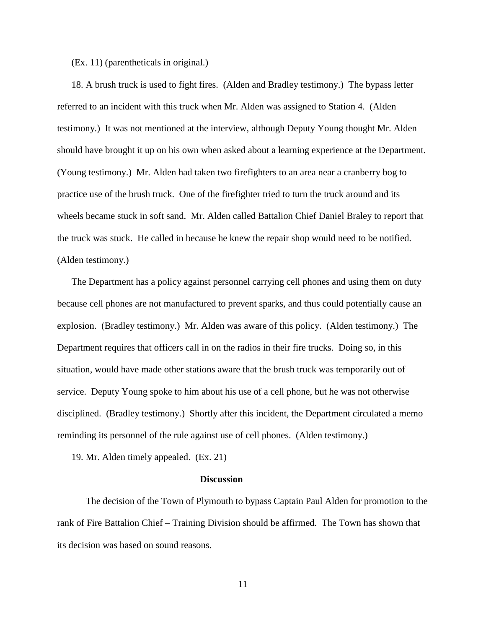#### (Ex. 11) (parentheticals in original.)

18. A brush truck is used to fight fires. (Alden and Bradley testimony.) The bypass letter referred to an incident with this truck when Mr. Alden was assigned to Station 4. (Alden testimony.) It was not mentioned at the interview, although Deputy Young thought Mr. Alden should have brought it up on his own when asked about a learning experience at the Department. (Young testimony.) Mr. Alden had taken two firefighters to an area near a cranberry bog to practice use of the brush truck. One of the firefighter tried to turn the truck around and its wheels became stuck in soft sand. Mr. Alden called Battalion Chief Daniel Braley to report that the truck was stuck. He called in because he knew the repair shop would need to be notified. (Alden testimony.)

The Department has a policy against personnel carrying cell phones and using them on duty because cell phones are not manufactured to prevent sparks, and thus could potentially cause an explosion. (Bradley testimony.) Mr. Alden was aware of this policy. (Alden testimony.) The Department requires that officers call in on the radios in their fire trucks. Doing so, in this situation, would have made other stations aware that the brush truck was temporarily out of service. Deputy Young spoke to him about his use of a cell phone, but he was not otherwise disciplined. (Bradley testimony.) Shortly after this incident, the Department circulated a memo reminding its personnel of the rule against use of cell phones. (Alden testimony.)

19. Mr. Alden timely appealed. (Ex. 21)

#### **Discussion**

The decision of the Town of Plymouth to bypass Captain Paul Alden for promotion to the rank of Fire Battalion Chief – Training Division should be affirmed. The Town has shown that its decision was based on sound reasons.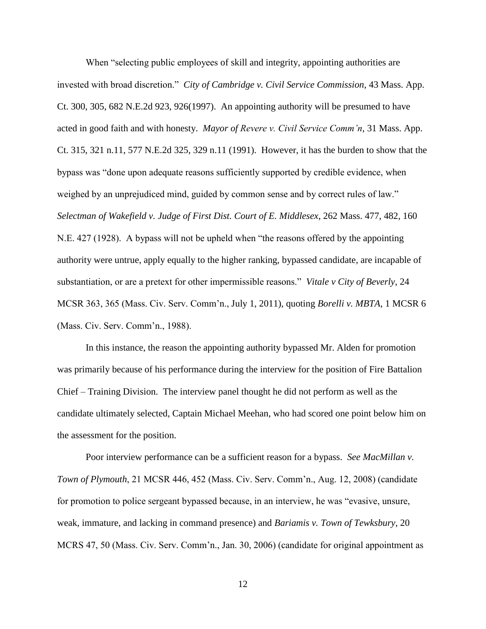When "selecting public employees of skill and integrity, appointing authorities are invested with broad discretion." *City of Cambridge v. Civil Service Commission*, 43 Mass. App. Ct. 300, 305, 682 N.E.2d 923, 926(1997). An appointing authority will be presumed to have acted in good faith and with honesty. *Mayor of Revere v. Civil Service Comm'n*, 31 Mass. App. Ct. 315, 321 n.11, 577 N.E.2d 325, 329 n.11 (1991). However, it has the burden to show that the bypass was "done upon adequate reasons sufficiently supported by credible evidence, when weighed by an unprejudiced mind, guided by common sense and by correct rules of law." *Selectman of Wakefield v. Judge of First Dist. Court of E. Middlesex*, 262 Mass. 477, 482, 160 N.E. 427 (1928). A bypass will not be upheld when "the reasons offered by the appointing authority were untrue, apply equally to the higher ranking, bypassed candidate, are incapable of substantiation, or are a pretext for other impermissible reasons." *Vitale v City of Beverly,* 24 MCSR 363, 365 (Mass. Civ. Serv. Comm'n., July 1, 2011), quoting *Borelli v. MBTA*, 1 MCSR 6 (Mass. Civ. Serv. Comm'n., 1988).

In this instance, the reason the appointing authority bypassed Mr. Alden for promotion was primarily because of his performance during the interview for the position of Fire Battalion Chief – Training Division. The interview panel thought he did not perform as well as the candidate ultimately selected, Captain Michael Meehan, who had scored one point below him on the assessment for the position.

Poor interview performance can be a sufficient reason for a bypass. *See MacMillan v. Town of Plymouth*, 21 MCSR 446, 452 (Mass. Civ. Serv. Comm'n., Aug. 12, 2008) (candidate for promotion to police sergeant bypassed because, in an interview, he was "evasive, unsure, weak, immature, and lacking in command presence) and *Bariamis v. Town of Tewksbury*, 20 MCRS 47, 50 (Mass. Civ. Serv. Comm'n., Jan. 30, 2006) (candidate for original appointment as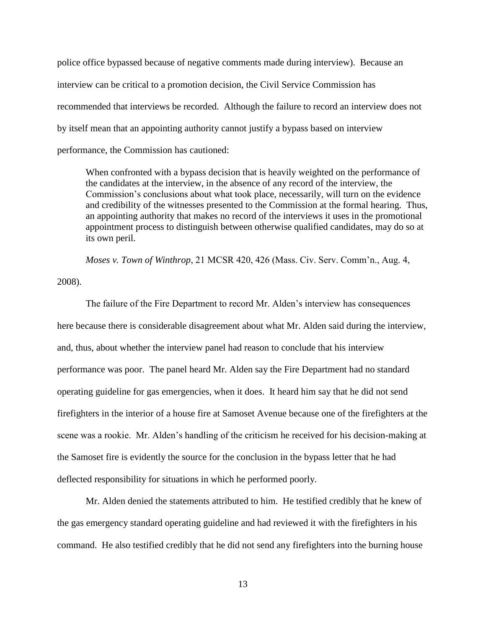police office bypassed because of negative comments made during interview). Because an interview can be critical to a promotion decision, the Civil Service Commission has recommended that interviews be recorded. Although the failure to record an interview does not by itself mean that an appointing authority cannot justify a bypass based on interview performance, the Commission has cautioned:

When confronted with a bypass decision that is heavily weighted on the performance of the candidates at the interview, in the absence of any record of the interview, the Commission's conclusions about what took place, necessarily, will turn on the evidence and credibility of the witnesses presented to the Commission at the formal hearing. Thus, an appointing authority that makes no record of the interviews it uses in the promotional appointment process to distinguish between otherwise qualified candidates, may do so at its own peril.

*Moses v. Town of Winthrop*, 21 MCSR 420, 426 (Mass. Civ. Serv. Comm'n., Aug. 4,

2008).

The failure of the Fire Department to record Mr. Alden's interview has consequences here because there is considerable disagreement about what Mr. Alden said during the interview, and, thus, about whether the interview panel had reason to conclude that his interview performance was poor. The panel heard Mr. Alden say the Fire Department had no standard operating guideline for gas emergencies, when it does. It heard him say that he did not send firefighters in the interior of a house fire at Samoset Avenue because one of the firefighters at the scene was a rookie. Mr. Alden's handling of the criticism he received for his decision-making at the Samoset fire is evidently the source for the conclusion in the bypass letter that he had deflected responsibility for situations in which he performed poorly.

Mr. Alden denied the statements attributed to him. He testified credibly that he knew of the gas emergency standard operating guideline and had reviewed it with the firefighters in his command. He also testified credibly that he did not send any firefighters into the burning house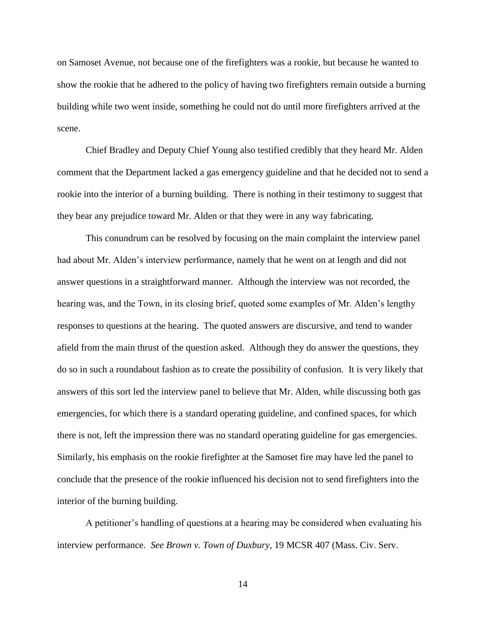on Samoset Avenue, not because one of the firefighters was a rookie, but because he wanted to show the rookie that he adhered to the policy of having two firefighters remain outside a burning building while two went inside, something he could not do until more firefighters arrived at the scene.

Chief Bradley and Deputy Chief Young also testified credibly that they heard Mr. Alden comment that the Department lacked a gas emergency guideline and that he decided not to send a rookie into the interior of a burning building. There is nothing in their testimony to suggest that they bear any prejudice toward Mr. Alden or that they were in any way fabricating.

This conundrum can be resolved by focusing on the main complaint the interview panel had about Mr. Alden's interview performance, namely that he went on at length and did not answer questions in a straightforward manner. Although the interview was not recorded, the hearing was, and the Town, in its closing brief, quoted some examples of Mr. Alden's lengthy responses to questions at the hearing. The quoted answers are discursive, and tend to wander afield from the main thrust of the question asked. Although they do answer the questions, they do so in such a roundabout fashion as to create the possibility of confusion. It is very likely that answers of this sort led the interview panel to believe that Mr. Alden, while discussing both gas emergencies, for which there is a standard operating guideline, and confined spaces, for which there is not, left the impression there was no standard operating guideline for gas emergencies. Similarly, his emphasis on the rookie firefighter at the Samoset fire may have led the panel to conclude that the presence of the rookie influenced his decision not to send firefighters into the interior of the burning building.

A petitioner's handling of questions at a hearing may be considered when evaluating his interview performance*. See Brown v. Town of Duxbury*, 19 MCSR 407 (Mass. Civ. Serv.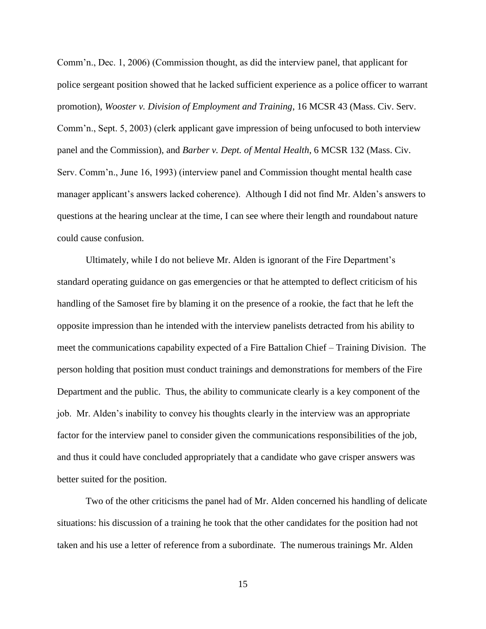Comm'n., Dec. 1, 2006) (Commission thought, as did the interview panel, that applicant for police sergeant position showed that he lacked sufficient experience as a police officer to warrant promotion), *Wooster v. Division of Employment and Training*, 16 MCSR 43 (Mass. Civ. Serv. Comm'n., Sept. 5, 2003) (clerk applicant gave impression of being unfocused to both interview panel and the Commission), and *Barber v. Dept. of Mental Health*, 6 MCSR 132 (Mass. Civ. Serv. Comm'n., June 16, 1993) (interview panel and Commission thought mental health case manager applicant's answers lacked coherence). Although I did not find Mr. Alden's answers to questions at the hearing unclear at the time, I can see where their length and roundabout nature could cause confusion.

Ultimately, while I do not believe Mr. Alden is ignorant of the Fire Department's standard operating guidance on gas emergencies or that he attempted to deflect criticism of his handling of the Samoset fire by blaming it on the presence of a rookie, the fact that he left the opposite impression than he intended with the interview panelists detracted from his ability to meet the communications capability expected of a Fire Battalion Chief – Training Division. The person holding that position must conduct trainings and demonstrations for members of the Fire Department and the public. Thus, the ability to communicate clearly is a key component of the job. Mr. Alden's inability to convey his thoughts clearly in the interview was an appropriate factor for the interview panel to consider given the communications responsibilities of the job, and thus it could have concluded appropriately that a candidate who gave crisper answers was better suited for the position.

Two of the other criticisms the panel had of Mr. Alden concerned his handling of delicate situations: his discussion of a training he took that the other candidates for the position had not taken and his use a letter of reference from a subordinate. The numerous trainings Mr. Alden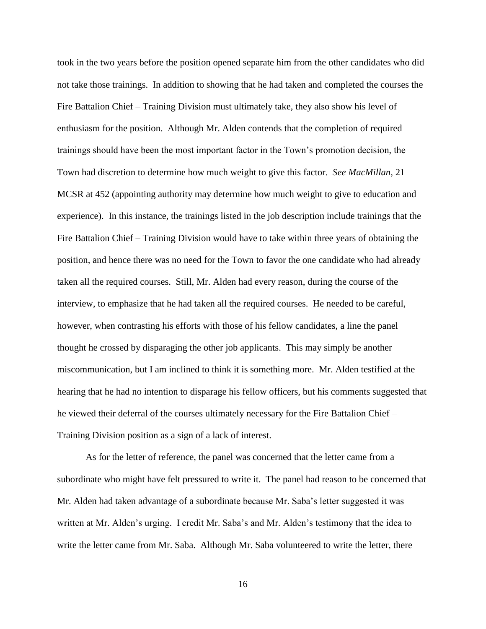took in the two years before the position opened separate him from the other candidates who did not take those trainings. In addition to showing that he had taken and completed the courses the Fire Battalion Chief – Training Division must ultimately take, they also show his level of enthusiasm for the position. Although Mr. Alden contends that the completion of required trainings should have been the most important factor in the Town's promotion decision, the Town had discretion to determine how much weight to give this factor. *See MacMillan*, 21 MCSR at 452 (appointing authority may determine how much weight to give to education and experience). In this instance, the trainings listed in the job description include trainings that the Fire Battalion Chief – Training Division would have to take within three years of obtaining the position, and hence there was no need for the Town to favor the one candidate who had already taken all the required courses. Still, Mr. Alden had every reason, during the course of the interview, to emphasize that he had taken all the required courses. He needed to be careful, however, when contrasting his efforts with those of his fellow candidates, a line the panel thought he crossed by disparaging the other job applicants. This may simply be another miscommunication, but I am inclined to think it is something more. Mr. Alden testified at the hearing that he had no intention to disparage his fellow officers, but his comments suggested that he viewed their deferral of the courses ultimately necessary for the Fire Battalion Chief – Training Division position as a sign of a lack of interest.

As for the letter of reference, the panel was concerned that the letter came from a subordinate who might have felt pressured to write it. The panel had reason to be concerned that Mr. Alden had taken advantage of a subordinate because Mr. Saba's letter suggested it was written at Mr. Alden's urging. I credit Mr. Saba's and Mr. Alden's testimony that the idea to write the letter came from Mr. Saba. Although Mr. Saba volunteered to write the letter, there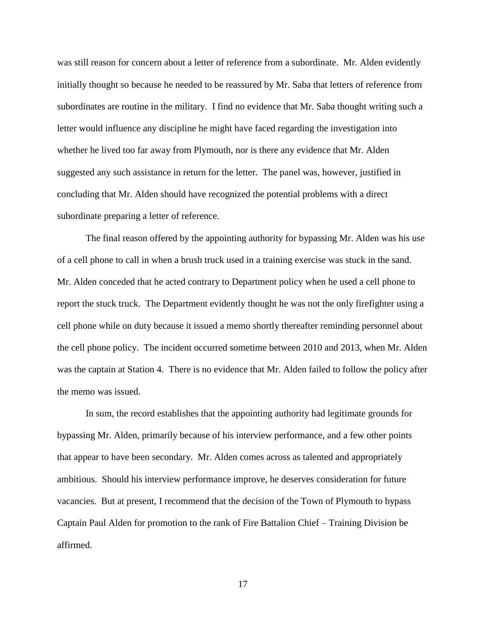was still reason for concern about a letter of reference from a subordinate. Mr. Alden evidently initially thought so because he needed to be reassured by Mr. Saba that letters of reference from subordinates are routine in the military. I find no evidence that Mr. Saba thought writing such a letter would influence any discipline he might have faced regarding the investigation into whether he lived too far away from Plymouth, nor is there any evidence that Mr. Alden suggested any such assistance in return for the letter. The panel was, however, justified in concluding that Mr. Alden should have recognized the potential problems with a direct subordinate preparing a letter of reference.

The final reason offered by the appointing authority for bypassing Mr. Alden was his use of a cell phone to call in when a brush truck used in a training exercise was stuck in the sand. Mr. Alden conceded that he acted contrary to Department policy when he used a cell phone to report the stuck truck. The Department evidently thought he was not the only firefighter using a cell phone while on duty because it issued a memo shortly thereafter reminding personnel about the cell phone policy. The incident occurred sometime between 2010 and 2013, when Mr. Alden was the captain at Station 4. There is no evidence that Mr. Alden failed to follow the policy after the memo was issued.

In sum, the record establishes that the appointing authority had legitimate grounds for bypassing Mr. Alden, primarily because of his interview performance, and a few other points that appear to have been secondary. Mr. Alden comes across as talented and appropriately ambitious. Should his interview performance improve, he deserves consideration for future vacancies. But at present, I recommend that the decision of the Town of Plymouth to bypass Captain Paul Alden for promotion to the rank of Fire Battalion Chief – Training Division be affirmed.